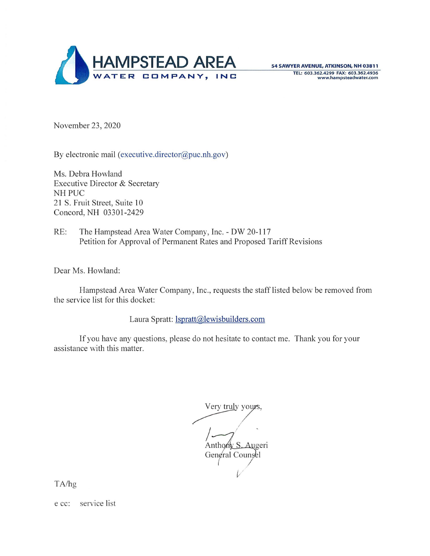

54 SAWYER AVENUE, ATKINSON, NH 03811 TEL: **603.362.4299 FAX: 603 .362.4936 www.hampsteadwater.com** 

November 23, 2020

By electronic mail (executive.director@puc.nh.gov)

Ms. Debra Howland Executive Director & Secretary NH PUC 21 S. Fruit Street, Suite 10 Concord, NH 03301-2429

RE: The Hampstead Area Water Company, Inc. - DW 20-117 Petition for Approval of Permanent Rates and Proposed Tariff Revisions

Dear Ms. Howland:

Hampstead Area Water Company, Inc. , requests the staff listed below be removed from the service list for this docket:

Laura Spratt: lspratt@lewisbuilders.com

If you have any questions, please do not hesitate to contact me. Thank you for your assistance with this matter.

Very truly yours,

Anthony S. Augeri<br>General Counsel  $\sqrt{2}$  $V$ 

TA/hg

e cc: service list